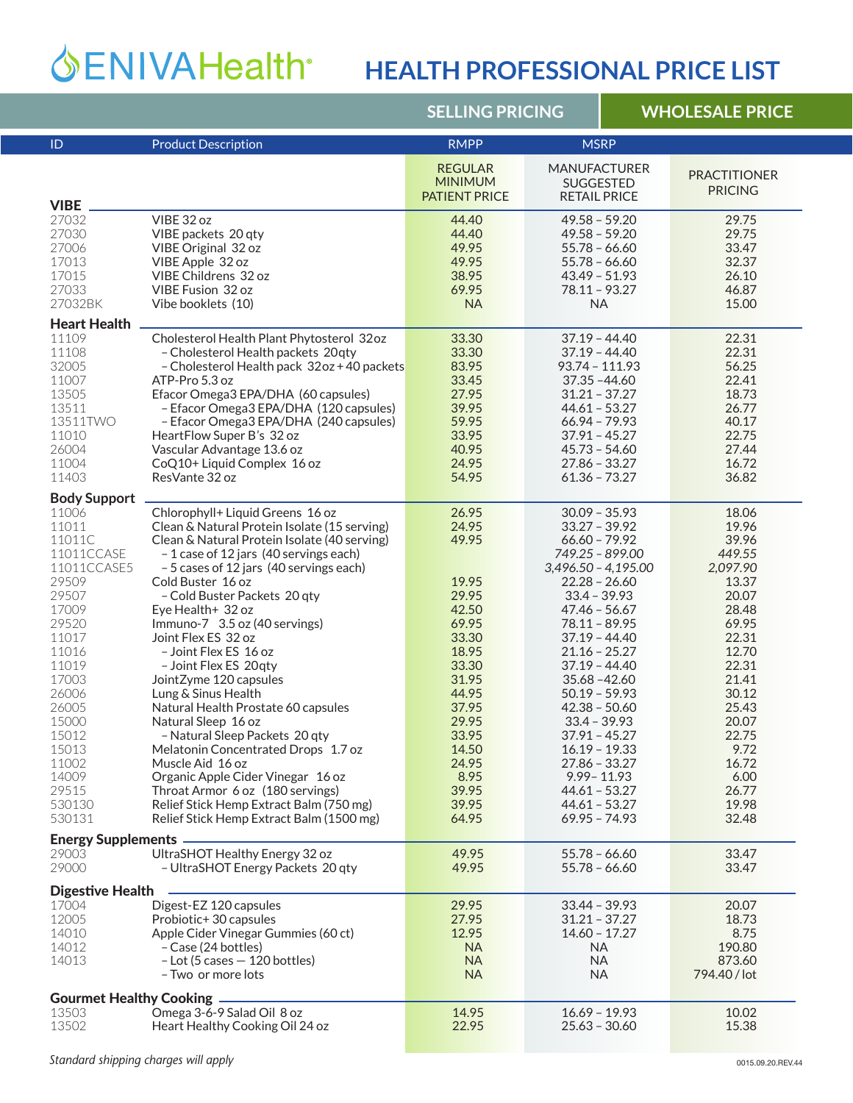## **HEALTH PROFESSIONAL PRICE LIST**

|                                 |                                                      | <b>SELLING PRICING</b>                                   |                                                                | <b>WHOLESALE PRICE</b> |                                       |  |  |
|---------------------------------|------------------------------------------------------|----------------------------------------------------------|----------------------------------------------------------------|------------------------|---------------------------------------|--|--|
| ID                              | <b>Product Description</b>                           | <b>RMPP</b>                                              | <b>MSRP</b>                                                    |                        |                                       |  |  |
| <b>VIBE</b>                     |                                                      | <b>REGULAR</b><br><b>MINIMUM</b><br><b>PATIENT PRICE</b> | <b>MANUFACTURER</b><br><b>SUGGESTED</b><br><b>RETAIL PRICE</b> |                        | <b>PRACTITIONER</b><br><b>PRICING</b> |  |  |
| 27032                           | VIBE 32 oz                                           | 44.40                                                    | $49.58 - 59.20$                                                |                        | 29.75                                 |  |  |
| 27030                           | VIBE packets 20 qty                                  | 44.40                                                    | $49.58 - 59.20$                                                |                        | 29.75                                 |  |  |
| 27006                           | VIBE Original 32 oz                                  | 49.95                                                    | $55.78 - 66.60$                                                |                        | 33.47                                 |  |  |
| 17013                           | VIBE Apple 32 oz                                     | 49.95                                                    | $55.78 - 66.60$                                                |                        | 32.37                                 |  |  |
| 17015                           | VIBE Childrens 32 oz                                 | 38.95                                                    | $43.49 - 51.93$                                                |                        | 26.10                                 |  |  |
| 27033                           | <b>VIBE Fusion 32 oz</b>                             | 69.95                                                    | $78.11 - 93.27$                                                |                        | 46.87                                 |  |  |
| 27032BK                         | Vibe booklets (10)                                   | <b>NA</b>                                                | <b>NA</b>                                                      |                        | 15.00                                 |  |  |
| <b>Heart Health</b>             |                                                      |                                                          |                                                                |                        |                                       |  |  |
| 11109                           | Cholesterol Health Plant Phytosterol 32oz            | 33.30                                                    | $37.19 - 44.40$                                                |                        | 22.31                                 |  |  |
| 11108                           | - Cholesterol Health packets 20qty                   | 33.30                                                    | $37.19 - 44.40$                                                |                        | 22.31                                 |  |  |
| 32005                           | - Cholesterol Health pack 32oz + 40 packets          | 83.95                                                    | 93.74 - 111.93                                                 |                        | 56.25                                 |  |  |
| 11007                           | ATP-Pro 5.3 oz                                       | 33.45                                                    | $37.35 - 44.60$                                                |                        | 22.41                                 |  |  |
| 13505                           | Efacor Omega3 EPA/DHA (60 capsules)                  | 27.95                                                    | $31.21 - 37.27$                                                |                        | 18.73                                 |  |  |
| 13511                           | - Efacor Omega3 EPA/DHA (120 capsules)               | 39.95                                                    | $44.61 - 53.27$                                                |                        | 26.77                                 |  |  |
| 13511TWO                        | - Efacor Omega3 EPA/DHA (240 capsules)               | 59.95                                                    | $66.94 - 79.93$                                                |                        | 40.17                                 |  |  |
| 11010                           | HeartFlow Super B's 32 oz                            | 33.95                                                    | $37.91 - 45.27$                                                |                        | 22.75                                 |  |  |
| 26004                           | Vascular Advantage 13.6 oz                           | 40.95                                                    | $45.73 - 54.60$                                                |                        | 27.44                                 |  |  |
| 11004                           | CoQ10+ Liquid Complex 16 oz                          | 24.95                                                    | $27.86 - 33.27$                                                |                        | 16.72                                 |  |  |
| 11403                           | ResVante 32 oz                                       | 54.95                                                    | $61.36 - 73.27$                                                |                        | 36.82                                 |  |  |
| <b>Body Support</b>             |                                                      |                                                          |                                                                |                        |                                       |  |  |
| 11006                           | Chlorophyll+ Liquid Greens 16 oz                     | 26.95                                                    | $30.09 - 35.93$                                                |                        | 18.06                                 |  |  |
| 11011                           | Clean & Natural Protein Isolate (15 serving)         | 24.95                                                    | $33.27 - 39.92$                                                |                        | 19.96                                 |  |  |
| 11011C                          | Clean & Natural Protein Isolate (40 serving)         | 49.95                                                    | $66.60 - 79.92$                                                |                        | 39.96                                 |  |  |
| 11011CCASE                      | -1 case of 12 jars (40 servings each)                |                                                          | 749.25 - 899.00                                                |                        | 449.55                                |  |  |
| 11011CCASE5                     | - 5 cases of 12 jars (40 servings each)              |                                                          | $3,496.50 - 4,195.00$                                          |                        | 2,097.90                              |  |  |
| 29509                           | Cold Buster 16 oz                                    | 19.95                                                    | $22.28 - 26.60$                                                |                        | 13.37                                 |  |  |
| 29507                           | - Cold Buster Packets 20 qty                         | 29.95                                                    | $33.4 - 39.93$                                                 |                        | 20.07                                 |  |  |
| 17009                           | Eye Health+ 32 oz                                    | 42.50<br>69.95                                           | $47.46 - 56.67$                                                |                        | 28.48                                 |  |  |
| 29520<br>11017                  | Immuno-7 3.5 oz (40 servings)<br>Joint Flex ES 32 oz | 33.30                                                    | $78.11 - 89.95$<br>$37.19 - 44.40$                             |                        | 69.95<br>22.31                        |  |  |
| 11016                           | - Joint Flex ES 16 oz                                | 18.95                                                    | $21.16 - 25.27$                                                |                        | 12.70                                 |  |  |
| 11019                           | - Joint Flex ES 20qty                                | 33.30                                                    | $37.19 - 44.40$                                                |                        | 22.31                                 |  |  |
| 17003                           | JointZyme 120 capsules                               | 31.95                                                    | $35.68 - 42.60$                                                |                        | 21.41                                 |  |  |
| 26006                           | Lung & Sinus Health                                  | 44.95                                                    | $50.19 - 59.93$                                                |                        | 30.12                                 |  |  |
| 26005                           | Natural Health Prostate 60 capsules                  | 37.95                                                    | $42.38 - 50.60$                                                |                        | 25.43                                 |  |  |
| 15000                           | Natural Sleep 16 oz                                  | 29.95                                                    | $33.4 - 39.93$                                                 |                        | 20.07                                 |  |  |
| 15012                           | - Natural Sleep Packets 20 qty                       | 33.95                                                    | $37.91 - 45.27$                                                |                        | 22.75                                 |  |  |
| 15013                           | Melatonin Concentrated Drops 1.7 oz                  | 14.50                                                    | $16.19 - 19.33$                                                |                        | 9.72                                  |  |  |
| 11002                           | Muscle Aid 16 oz                                     | 24.95                                                    | $27.86 - 33.27$                                                |                        | 16.72                                 |  |  |
| 14009                           | Organic Apple Cider Vinegar 16 oz                    | 8.95                                                     | $9.99 - 11.93$                                                 |                        | 6.00                                  |  |  |
| 29515                           | Throat Armor 6 oz (180 servings)                     | 39.95                                                    | $44.61 - 53.27$                                                |                        | 26.77                                 |  |  |
| 530130                          | Relief Stick Hemp Extract Balm (750 mg)              | 39.95                                                    | $44.61 - 53.27$                                                |                        | 19.98                                 |  |  |
| 530131                          | Relief Stick Hemp Extract Balm (1500 mg)             | 64.95                                                    | $69.95 - 74.93$                                                |                        | 32.48                                 |  |  |
| <b>Energy Supplements -</b>     |                                                      |                                                          |                                                                |                        |                                       |  |  |
| 29003                           | UltraSHOT Healthy Energy 32 oz                       | 49.95                                                    | $55.78 - 66.60$                                                |                        | 33.47                                 |  |  |
| 29000                           | - UltraSHOT Energy Packets 20 qty                    | 49.95                                                    | $55.78 - 66.60$                                                |                        | 33.47                                 |  |  |
| <b>Digestive Health</b>         |                                                      |                                                          |                                                                |                        |                                       |  |  |
| 17004                           | Digest-EZ 120 capsules                               | 29.95                                                    | $33.44 - 39.93$                                                |                        | 20.07                                 |  |  |
| 12005                           | Probiotic+30 capsules                                | 27.95                                                    | $31.21 - 37.27$                                                |                        | 18.73                                 |  |  |
| 14010                           | Apple Cider Vinegar Gummies (60 ct)                  | 12.95                                                    | $14.60 - 17.27$                                                |                        | 8.75                                  |  |  |
| 14012                           | - Case (24 bottles)                                  | <b>NA</b>                                                | <b>NA</b>                                                      |                        | 190.80                                |  |  |
| 14013                           | $-$ Lot (5 cases $-$ 120 bottles)                    | <b>NA</b>                                                | <b>NA</b>                                                      |                        | 873.60                                |  |  |
|                                 | - Two or more lots                                   | <b>NA</b>                                                | <b>NA</b>                                                      |                        | 794.40 / lot                          |  |  |
| <b>Gourmet Healthy Cooking.</b> |                                                      |                                                          |                                                                |                        |                                       |  |  |
| 13503                           | Omega 3-6-9 Salad Oil 8 oz                           | 14.95                                                    | $16.69 - 19.93$                                                |                        | 10.02                                 |  |  |
| 13502                           | Heart Healthy Cooking Oil 24 oz                      | 22.95                                                    | $25.63 - 30.60$                                                |                        | 15.38                                 |  |  |